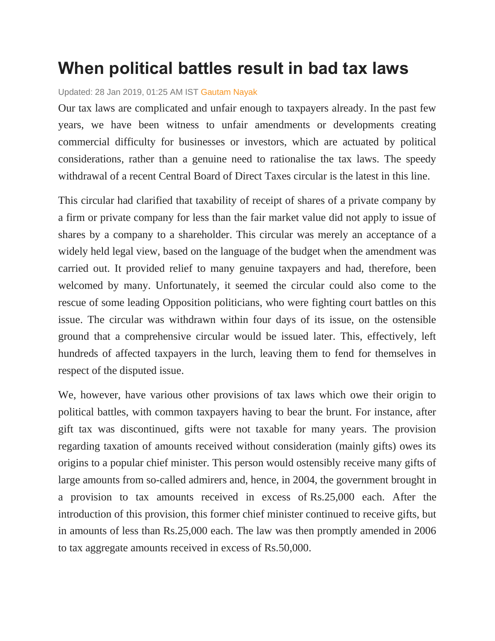## **When political battles result in bad tax laws**

## Updated: 28 Jan 2019, 01:25 AM IST [Gautam Nayak](https://www.livemint.com/Search/Link/Author/Gautam%20Nayak)

Our tax laws are complicated and unfair enough to taxpayers already. In the past few years, we have been witness to unfair amendments or developments creating commercial difficulty for businesses or investors, which are actuated by political considerations, rather than a genuine need to rationalise the tax laws. The speedy withdrawal of a recent Central Board of Direct Taxes circular is the latest in this line.

This circular had clarified that taxability of receipt of shares of a private company by a firm or private company for less than the fair market value did not apply to issue of shares by a company to a shareholder. This circular was merely an acceptance of a widely held legal view, based on the language of the budget when the amendment was carried out. It provided relief to many genuine taxpayers and had, therefore, been welcomed by many. Unfortunately, it seemed the circular could also come to the rescue of some leading Opposition politicians, who were fighting court battles on this issue. The circular was withdrawn within four days of its issue, on the ostensible ground that a comprehensive circular would be issued later. This, effectively, left hundreds of affected taxpayers in the lurch, leaving them to fend for themselves in respect of the disputed issue.

We, however, have various other provisions of tax laws which owe their origin to political battles, with common taxpayers having to bear the brunt. For instance, after gift tax was discontinued, gifts were not taxable for many years. The provision regarding taxation of amounts received without consideration (mainly gifts) owes its origins to a popular chief minister. This person would ostensibly receive many gifts of large amounts from so-called admirers and, hence, in 2004, the government brought in a provision to tax amounts received in excess of Rs.25,000 each. After the introduction of this provision, this former chief minister continued to receive gifts, but in amounts of less than Rs.25,000 each. The law was then promptly amended in 2006 to tax aggregate amounts received in excess of Rs.50,000.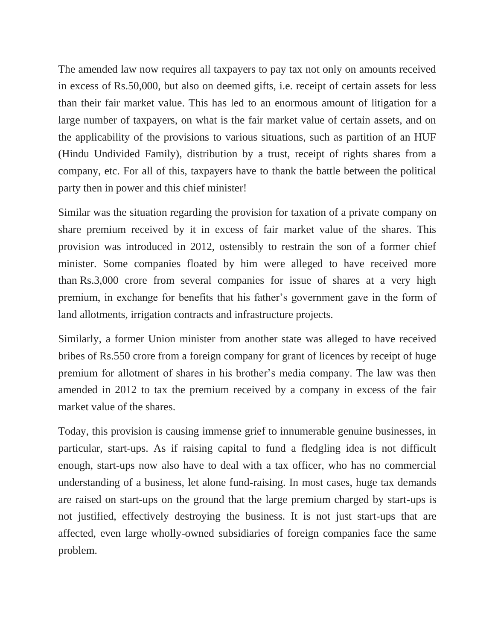The amended law now requires all taxpayers to pay tax not only on amounts received in excess of Rs.50,000, but also on deemed gifts, i.e. receipt of certain assets for less than their fair market value. This has led to an enormous amount of litigation for a large number of taxpayers, on what is the fair market value of certain assets, and on the applicability of the provisions to various situations, such as partition of an HUF (Hindu Undivided Family), distribution by a trust, receipt of rights shares from a company, etc. For all of this, taxpayers have to thank the battle between the political party then in power and this chief minister!

Similar was the situation regarding the provision for taxation of a private company on share premium received by it in excess of fair market value of the shares. This provision was introduced in 2012, ostensibly to restrain the son of a former chief minister. Some companies floated by him were alleged to have received more than Rs.3,000 crore from several companies for issue of shares at a very high premium, in exchange for benefits that his father's government gave in the form of land allotments, irrigation contracts and infrastructure projects.

Similarly, a former Union minister from another state was alleged to have received bribes of Rs.550 crore from a foreign company for grant of licences by receipt of huge premium for allotment of shares in his brother's media company. The law was then amended in 2012 to tax the premium received by a company in excess of the fair market value of the shares.

Today, this provision is causing immense grief to innumerable genuine businesses, in particular, start-ups. As if raising capital to fund a fledgling idea is not difficult enough, start-ups now also have to deal with a tax officer, who has no commercial understanding of a business, let alone fund-raising. In most cases, huge tax demands are raised on start-ups on the ground that the large premium charged by start-ups is not justified, effectively destroying the business. It is not just start-ups that are affected, even large wholly-owned subsidiaries of foreign companies face the same problem.